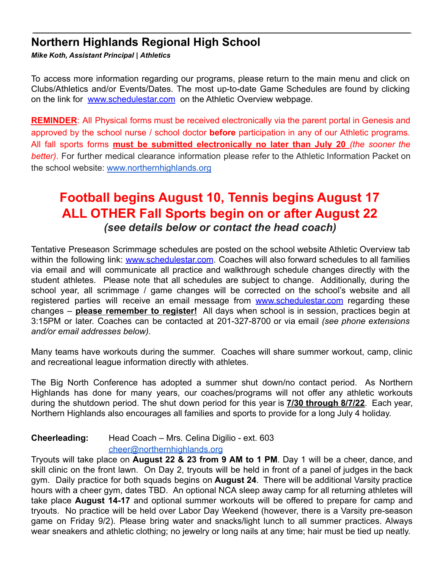# **Northern Highlands Regional High School**

*Mike Koth, Assistant Principal* **|** *Athletics*

To access more information regarding our programs, please return to the main menu and click on Clubs/Athletics and/or Events/Dates. The most up-to-date Game Schedules are found by clicking on the link for www.schedulestar.com on the Athletic Overview webpage.

**REMINDER:** All Physical forms must be received electronically via the parent portal in Genesis and approved by the school nurse / school doctor **before** participation in any of our Athletic programs. All fall sports forms **must be submitted electronically no later than July 20** *(the sooner the better)*. For further medical clearance information please refer to the Athletic Information Packet on the school website: [www.northernhighlands.org](http://www.northernhighlands.org)

# **Football begins August 10, Tennis begins August 17 ALL OTHER Fall Sports begin on or after August 22** *(see details below or contact the head coach)*

Tentative Preseason Scrimmage schedules are posted on the school website Athletic Overview tab within the following link: www.schedulestar.com. Coaches will also forward schedules to all families via email and will communicate all practice and walkthrough schedule changes directly with the student athletes. Please note that all schedules are subject to change. Additionally, during the school year, all scrimmage / game changes will be corrected on the school's website and all registered parties will receive an email message from www.schedulestar.com regarding these changes – **please remember to register!** All days when school is in session, practices begin at 3:15PM or later. Coaches can be contacted at 201-327-8700 or via email *(see phone extensions and/or email addresses below).*

Many teams have workouts during the summer. Coaches will share summer workout, camp, clinic and recreational league information directly with athletes.

The Big North Conference has adopted a summer shut down/no contact period. As Northern Highlands has done for many years, our coaches/programs will not offer any athletic workouts during the shutdown period. The shut down period for this year is **7/30 through 8/7/22**. Each year, Northern Highlands also encourages all families and sports to provide for a long July 4 holiday.

## **Cheerleading:** Head Coach – Mrs. Celina Digilio - ext. 603

#### [cheer@northernhighlands.org](mailto:cheer@northernhighlands.org)

Tryouts will take place on **August 22 & 23 from 9 AM to 1 PM**. Day 1 will be a cheer, dance, and skill clinic on the front lawn. On Day 2, tryouts will be held in front of a panel of judges in the back gym. Daily practice for both squads begins on **August 24**. There will be additional Varsity practice hours with a cheer gym, dates TBD. An optional NCA sleep away camp for all returning athletes will take place **August 14-17** and optional summer workouts will be offered to prepare for camp and tryouts. No practice will be held over Labor Day Weekend (however, there is a Varsity pre-season game on Friday 9/2). Please bring water and snacks/light lunch to all summer practices. Always wear sneakers and athletic clothing; no jewelry or long nails at any time; hair must be tied up neatly.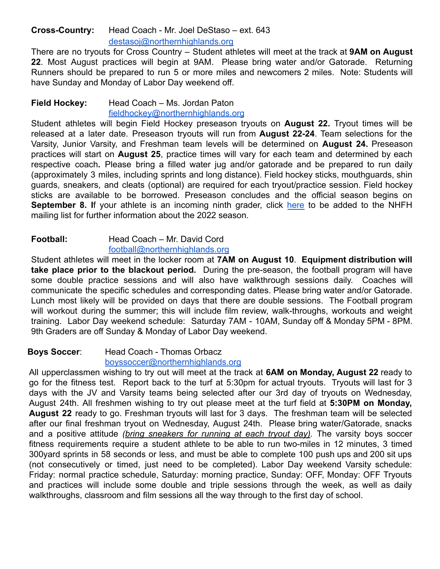## **Cross-Country:** Head Coach - Mr. Joel DeStaso – ext. 643 [destasoj@northernhighlands.org](mailto:destasoj@northernhighlands.org)

There are no tryouts for Cross Country – Student athletes will meet at the track at **9AM on August 22**. Most August practices will begin at 9AM. Please bring water and/or Gatorade. Returning Runners should be prepared to run 5 or more miles and newcomers 2 miles. Note: Students will have Sunday and Monday of Labor Day weekend off.

#### **Field Hockey:** Head Coach – Ms. Jordan Paton [fieldhockey@northernhighlands.org](mailto:fieldhockey@northernhighlands.org)

Student athletes will begin Field Hockey preseason tryouts on **August 22.** Tryout times will be released at a later date. Preseason tryouts will run from **August 22-24**. Team selections for the Varsity, Junior Varsity, and Freshman team levels will be determined on **August 24.** Preseason practices will start on **August 25**, practice times will vary for each team and determined by each respective coach**.** Please bring a filled water jug and/or gatorade and be prepared to run daily (approximately 3 miles, including sprints and long distance). Field hockey sticks, mouthguards, shin guards, sneakers, and cleats (optional) are required for each tryout/practice session. Field hockey sticks are available to be borrowed. Preseason concludes and the official season begins on **September 8. I**f your athlete is an incoming ninth grader, click [here](https://docs.google.com/spreadsheets/d/1yspUgdeploKD2mTLc5xQyDLuDLXvKNb8qQiQ6oSS31w/edit?usp=sharing) to be added to the NHFH mailing list for further information about the 2022 season.

#### **Football:** Head Coach – Mr. David Cord football@northernhighlands.org

Student athletes will meet in the locker room at **7AM on August 10**. **Equipment distribution will take place prior to the blackout period.** During the pre-season, the football program will have some double practice sessions and will also have walkthrough sessions daily. Coaches will communicate the specific schedules and corresponding dates. Please bring water and/or Gatorade. Lunch most likely will be provided on days that there are double sessions. The Football program will workout during the summer; this will include film review, walk-throughs, workouts and weight training. Labor Day weekend schedule: Saturday 7AM - 10AM, Sunday off & Monday 5PM - 8PM. 9th Graders are off Sunday & Monday of Labor Day weekend.

## **Boys Soccer**: Head Coach - Thomas Orbacz

[boyssoccer@northernhighlands.org](mailto:boyssoccer@northernhighlands.org) All upperclassmen wishing to try out will meet at the track at **6AM on Monday, August 22** ready to go for the fitness test. Report back to the turf at 5:30pm for actual tryouts. Tryouts will last for 3 days with the JV and Varsity teams being selected after our 3rd day of tryouts on Wednesday, August 24th. All freshmen wishing to try out please meet at the turf field at **5:30PM on Monday, August 22** ready to go. Freshman tryouts will last for 3 days. The freshman team will be selected after our final freshman tryout on Wednesday, August 24th. Please bring water/Gatorade, snacks and a positive attitude *(bring sneakers for running at each tryout day).* The varsity boys soccer fitness requirements require a student athlete to be able to run two-miles in 12 minutes, 3 timed 300yard sprints in 58 seconds or less, and must be able to complete 100 push ups and 200 sit ups (not consecutively or timed, just need to be completed). Labor Day weekend Varsity schedule: Friday: normal practice schedule, Saturday: morning practice, Sunday: OFF, Monday: OFF Tryouts and practices will include some double and triple sessions through the week, as well as daily walkthroughs, classroom and film sessions all the way through to the first day of school.